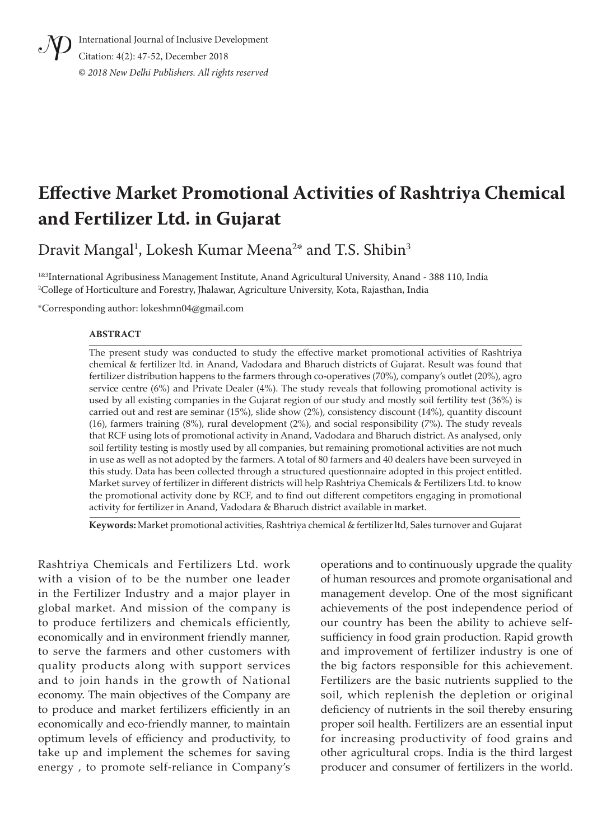

International Journal of Inclusive Development Citation: 4(2): 47-52, December 2018 **©** *2018 New Delhi Publishers. All rights reserved*

# **Effective Market Promotional Activities of Rashtriya Chemical and Fertilizer Ltd. in Gujarat**

Dravit Mangal $^{\rm l}$ , Lokesh Kumar Meena $^{\rm 2*}$  and T.S. Shibin $^{\rm 3}$ 

<sup>1&3</sup>International Agribusiness Management Institute, Anand Agricultural University, Anand - 388 110, India 2 College of Horticulture and Forestry, Jhalawar, Agriculture University, Kota, Rajasthan, India

\*Corresponding author: lokeshmn04@gmail.com

#### **ABSTRACT**

The present study was conducted to study the effective market promotional activities of Rashtriya chemical & fertilizer ltd. in Anand, Vadodara and Bharuch districts of Gujarat. Result was found that fertilizer distribution happens to the farmers through co-operatives (70%), company's outlet (20%), agro service centre (6%) and Private Dealer (4%). The study reveals that following promotional activity is used by all existing companies in the Gujarat region of our study and mostly soil fertility test (36%) is carried out and rest are seminar (15%), slide show (2%), consistency discount (14%), quantity discount (16), farmers training (8%), rural development (2%), and social responsibility (7%). The study reveals that RCF using lots of promotional activity in Anand, Vadodara and Bharuch district. As analysed, only soil fertility testing is mostly used by all companies, but remaining promotional activities are not much in use as well as not adopted by the farmers. A total of 80 farmers and 40 dealers have been surveyed in this study. Data has been collected through a structured questionnaire adopted in this project entitled. Market survey of fertilizer in different districts will help Rashtriya Chemicals & Fertilizers Ltd. to know the promotional activity done by RCF, and to find out different competitors engaging in promotional activity for fertilizer in Anand, Vadodara & Bharuch district available in market.

**Keywords:** Market promotional activities, Rashtriya chemical & fertilizer ltd, Sales turnover and Gujarat

Rashtriya Chemicals and Fertilizers Ltd. work with a vision of to be the number one leader in the Fertilizer Industry and a major player in global market. And mission of the company is to produce fertilizers and chemicals efficiently, economically and in environment friendly manner, to serve the farmers and other customers with quality products along with support services and to join hands in the growth of National economy. The main objectives of the Company are to produce and market fertilizers efficiently in an economically and eco-friendly manner, to maintain optimum levels of efficiency and productivity, to take up and implement the schemes for saving energy , to promote self-reliance in Company's

operations and to continuously upgrade the quality of human resources and promote organisational and management develop. One of the most significant achievements of the post independence period of our country has been the ability to achieve selfsufficiency in food grain production. Rapid growth and improvement of fertilizer industry is one of the big factors responsible for this achievement. Fertilizers are the basic nutrients supplied to the soil, which replenish the depletion or original deficiency of nutrients in the soil thereby ensuring proper soil health. Fertilizers are an essential input for increasing productivity of food grains and other agricultural crops. India is the third largest producer and consumer of fertilizers in the world.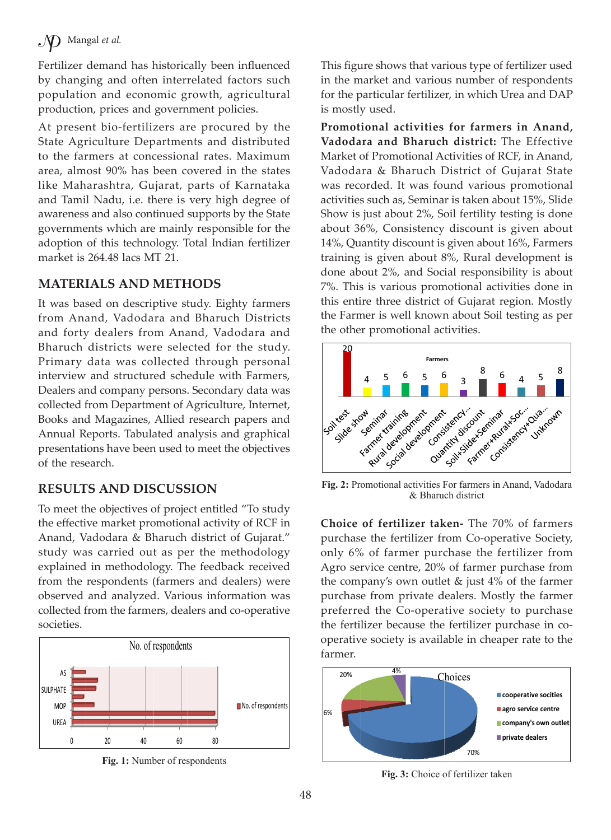## $\mathcal{N}$  Mangal et al.

Fertilizer demand has historically been influenced by changing and often interrelated factors such population and economic growth, agricultural production, prices and government policies.

At present bio-fertilizers are procured by the State Agriculture Departments and distributed to the farmers at concessional rates. Maximum area, almost 90% has been covered in the states like Maharashtra, Gujarat, parts of Karnataka and Tamil Nadu, i.e. there is very high degree of awareness and also continued supports by the State governments which are mainly responsible for the adoption of this technology. Total Indian fertilizer market is 264.48 lacs MT 21.

### **MATERIALS AND METHODS**

It was based on descriptive study. Eighty farmers from Anand, Vadodara and Bharuch Districts and forty dealers from Anand, Vadodara and Bharuch districts were selected for the study. Primary data was collected through personal interview and structured schedule with Farmers, Dealers and company persons. Secondary data was collected from Department of Agriculture, Internet, Books and Magazines, Allied research papers and Annual Reports. Tabulated analysis and graphical presentations have been used to meet the objectives of the research.

### **RESULTS AND DISCUSSION**

To meet the objectives of project entitled "To study the effective market promotional activity of RCF in Anand, Vadodara & Bharuch district of Gujarat." study was carried out as per the methodology explained in methodology. The feedback received from the respondents (farmers and dealers) were observed and analyzed. Various information was collected from the farmers, dealers and co-operative societies.



**Fig. 1:** Number of respondents

This figure shows that various type of fertilizer used in the market and various number of respondents for the particular fertilizer, in which Urea and DAP is mostly used.

**Promotional activities for farmers in Anand, Vadodara and Bharuch district:** The Effective Market of Promotional Activities of RCF, in Anand, Vadodara & Bharuch District of Gujarat State was recorded. It was found various promotional activities such as, Seminar is taken about 15%, Slide Show is just about 2%, Soil fertility testing is done about 36%, Consistency discount is given about 14%, Quantity discount is given about 16%, Farmers training is given about 8%, Rural development is done about 2%, and Social responsibility is about 7%. This is various promotional activities done in this entire three district of Gujarat region. Mostly the Farmer is well known about Soil testing as per the other promotional activities.



**Fig. 2:** Promotional activities For farmers in Anand, Vadodara & Bharuch district

**Choice of fertilizer taken-** The 70% of farmers purchase the fertilizer from Co-operative Society, only 6% of farmer purchase the fertilizer from Agro service centre, 20% of farmer purchase from the company's own outlet & just 4% of the farmer purchase from private dealers. Mostly the farmer preferred the Co-operative society to purchase the fertilizer because the fertilizer purchase in cooperative society is available in cheaper rate to the farmer.



**Fig. 3:** Choice of fertilizer taken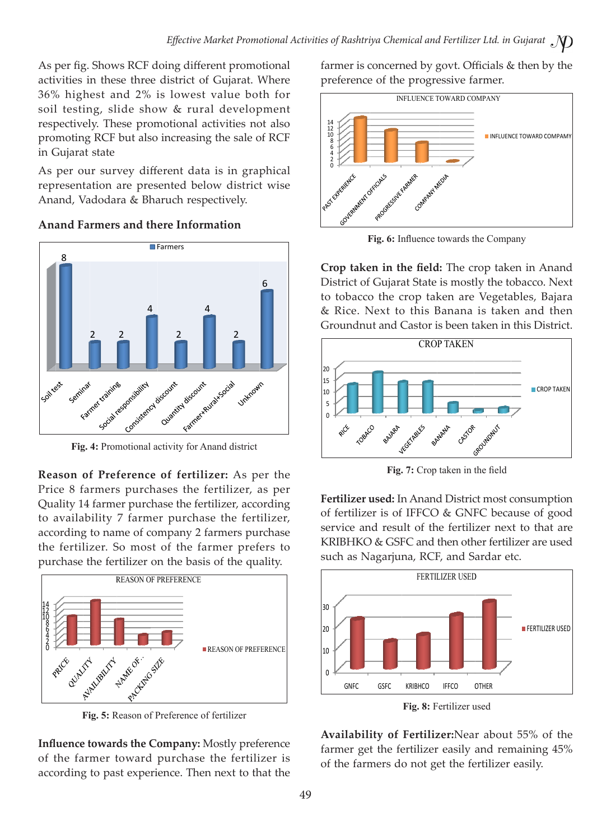As per fig. Shows RCF doing different promotional activities in these three district of Gujarat. Where 36% highest and 2% is lowest value both for soil testing, slide show & rural development respectively. These promotional activities not also promoting RCF but also increasing the sale of RCF in Gujarat state

As per our survey different data is in graphical representation are presented below district wise Anand, Vadodara & Bharuch respectively.



**Anand Farmers and there Information**

**Reason of Preference of fertilizer:** As per the Price 8 farmers purchases the fertilizer, as per Quality 14 farmer purchase the fertilizer, according to availability 7 farmer purchase the fertilizer, according to name of company 2 farmers purchase the fertilizer. So most of the farmer prefers to purchase the fertilizer on the basis of the quality.



**Fig. 5:** Reason of Preference of fertilizer

**Influence towards the Company:** Mostly preference of the farmer toward purchase the fertilizer is according to past experience. Then next to that the farmer is concerned by govt. Officials & then by the preference of the progressive farmer.



**Fig. 6:** Influence towards the Company

**Crop taken in the field:** The crop taken in Anand District of Gujarat State is mostly the tobacco. Next to tobacco the crop taken are Vegetables, Bajara & Rice. Next to this Banana is taken and then Groundnut and Castor is been taken in this District.



**Fig. 7:** Crop taken in the field

**Fertilizer used:** In Anand District most consumption of fertilizer is of IFFCO & GNFC because of good service and result of the fertilizer next to that are KRIBHKO & GSFC and then other fertilizer are used such as Nagarjuna, RCF, and Sardar etc.



**Fig. 8:** Fertilizer used

**Availability of Fertilizer:**Near about 55% of the farmer get the fertilizer easily and remaining 45% of the farmers do not get the fertilizer easily.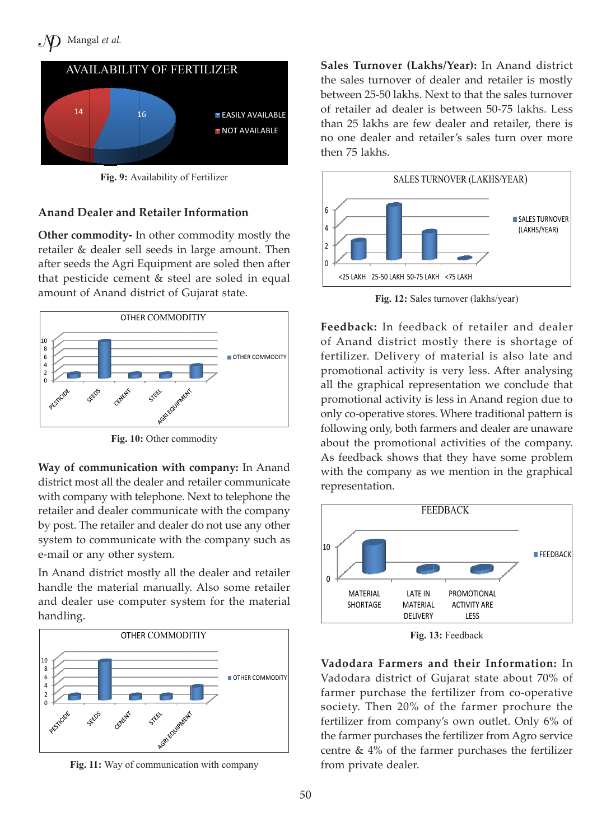

**Fig. 9:** Availability of Fertilizer

#### **Anand Dealer and Retailer Information**

**Other commodity-** In other commodity mostly the retailer & dealer sell seeds in large amount. Then after seeds the Agri Equipment are soled then after that pesticide cement & steel are soled in equal amount of Anand district of Gujarat state.



Fig. 10: Other commodity

**Way of communication with company:** In Anand district most all the dealer and retailer communicate with company with telephone. Next to telephone the retailer and dealer communicate with the company by post. The retailer and dealer do not use any other system to communicate with the company such as e-mail or any other system.

In Anand district mostly all the dealer and retailer handle the material manually. Also some retailer and dealer use computer system for the material handling.



**Fig. 11:** Way of communication with company

**Sales Turnover (Lakhs/Year):** In Anand district the sales turnover of dealer and retailer is mostly between 25-50 lakhs. Next to that the sales turnover of retailer ad dealer is between 50-75 lakhs. Less than 25 lakhs are few dealer and retailer, there is no one dealer and retailer's sales turn over more then 75 lakhs.



**Fig. 12:** Sales turnover (lakhs/year)

**Feedback:** In feedback of retailer and dealer of Anand district mostly there is shortage of fertilizer. Delivery of material is also late and promotional activity is very less. After analysing all the graphical representation we conclude that promotional activity is less in Anand region due to only co-operative stores. Where traditional pattern is following only, both farmers and dealer are unaware about the promotional activities of the company. As feedback shows that they have some problem with the company as we mention in the graphical representation.



**Fig. 13:** Feedback

**Vadodara Farmers and their Information:** In Vadodara district of Gujarat state about 70% of farmer purchase the fertilizer from co-operative society. Then 20% of the farmer prochure the fertilizer from company's own outlet. Only 6% of the farmer purchases the fertilizer from Agro service centre & 4% of the farmer purchases the fertilizer from private dealer.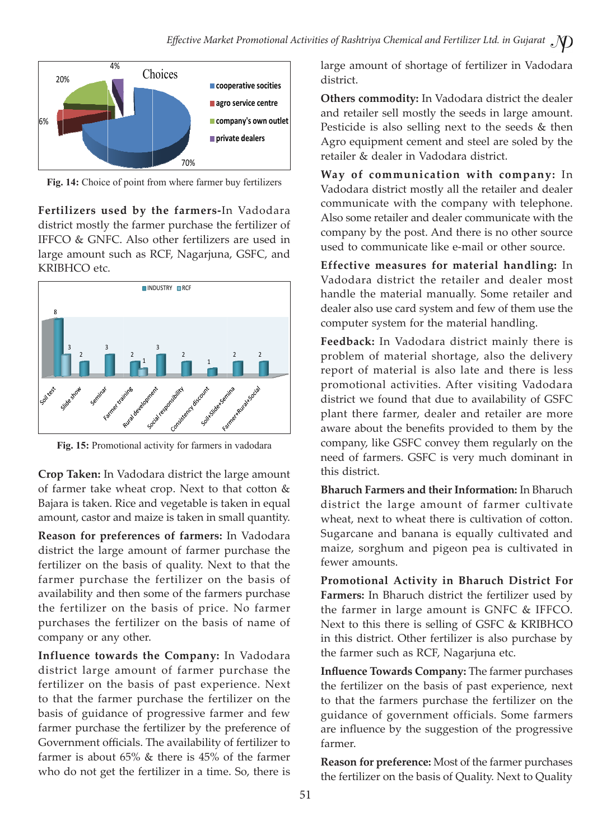

**Fig. 14:** Choice of point from where farmer buy fertilizers

**Fertilizers used by the farmers-**In Vadodara district mostly the farmer purchase the fertilizer of IFFCO & GNFC. Also other fertilizers are used in large amount such as RCF, Nagarjuna, GSFC, and KRIBHCO etc.



**Fig. 15:** Promotional activity for farmers in vadodara

**Crop Taken:** In Vadodara district the large amount of farmer take wheat crop. Next to that cotton & Bajara is taken. Rice and vegetable is taken in equal amount, castor and maize is taken in small quantity.

**Reason for preferences of farmers:** In Vadodara district the large amount of farmer purchase the fertilizer on the basis of quality. Next to that the farmer purchase the fertilizer on the basis of availability and then some of the farmers purchase the fertilizer on the basis of price. No farmer purchases the fertilizer on the basis of name of company or any other.

**Influence towards the Company:** In Vadodara district large amount of farmer purchase the fertilizer on the basis of past experience. Next to that the farmer purchase the fertilizer on the basis of guidance of progressive farmer and few farmer purchase the fertilizer by the preference of Government officials. The availability of fertilizer to farmer is about 65% & there is 45% of the farmer who do not get the fertilizer in a time. So, there is

large amount of shortage of fertilizer in Vadodara district.

**Others commodity:** In Vadodara district the dealer and retailer sell mostly the seeds in large amount. Pesticide is also selling next to the seeds & then Agro equipment cement and steel are soled by the retailer & dealer in Vadodara district.

**Way of communication with company:** In Vadodara district mostly all the retailer and dealer communicate with the company with telephone. Also some retailer and dealer communicate with the company by the post. And there is no other source used to communicate like e-mail or other source.

**Effective measures for material handling:** In Vadodara district the retailer and dealer most handle the material manually. Some retailer and dealer also use card system and few of them use the computer system for the material handling.

**Feedback:** In Vadodara district mainly there is problem of material shortage, also the delivery report of material is also late and there is less promotional activities. After visiting Vadodara district we found that due to availability of GSFC plant there farmer, dealer and retailer are more aware about the benefits provided to them by the company, like GSFC convey them regularly on the need of farmers. GSFC is very much dominant in this district.

**Bharuch Farmers and their Information:** In Bharuch district the large amount of farmer cultivate wheat, next to wheat there is cultivation of cotton. Sugarcane and banana is equally cultivated and maize, sorghum and pigeon pea is cultivated in fewer amounts.

**Promotional Activity in Bharuch District For Farmers:** In Bharuch district the fertilizer used by the farmer in large amount is GNFC & IFFCO. Next to this there is selling of GSFC & KRIBHCO in this district. Other fertilizer is also purchase by the farmer such as RCF, Nagarjuna etc.

**Influence Towards Company:** The farmer purchases the fertilizer on the basis of past experience, next to that the farmers purchase the fertilizer on the guidance of government officials. Some farmers are influence by the suggestion of the progressive farmer.

**Reason for preference:** Most of the farmer purchases the fertilizer on the basis of Quality. Next to Quality